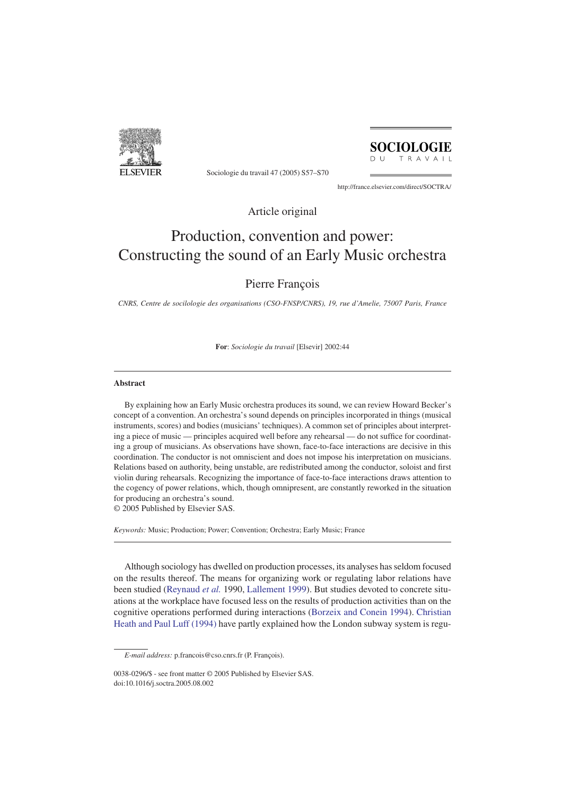

Sociologie du travail 47 (2005) S57–S70

**SOCIOLOGIE**  $D$  U TRAVAIL

http://france.elsevier.com/direct/SOCTRA/

Article original

# Production, convention and power: Constructing the sound of an Early Music orchestra

# Pierre François

*CNRS, Centre de socilologie des organisations (CSO-FNSP/CNRS), 19, rue d'Amelie, 75007 Paris, France*

**For**: *Sociologie du travail* [Elsevir] 2002:44

# **Abstract**

By explaining how an Early Music orchestra produces its sound, we can review Howard Becker's concept of a convention. An orchestra's sound depends on principles incorporated in things (musical instruments, scores) and bodies (musicians' techniques). A common set of principles about interpreting a piece of music — principles acquired well before any rehearsal — do not suffice for coordinating a group of musicians. As observations have shown, face-to-face interactions are decisive in this coordination. The conductor is not omniscient and does not impose his interpretation on musicians. Relations based on authority, being unstable, are redistributed among the conductor, soloist and first violin during rehearsals. Recognizing the importance of face-to-face interactions draws attention to the cogency of power relations, which, though omnipresent, are constantly reworked in the situation for producing an orchestra's sound. © 2005 Published by Elsevier SAS.

*Keywords:* Music; Production; Power; Convention; Orchestra; Early Music; France

Although sociology has dwelled on production processes, its analyses has seldom focused on the results thereof. The means for organizing work or regulating labor relations have been studied [\(Reynaud](#page-13-0) *et al.* 1990, [Lallement 1999\)](#page-13-0). But studies devoted to concrete situations at the workplace have focused less on the results of production activities than on the cognitive operations performed during interactions [\(Borzeix and Conein 1994\)](#page-13-0). [Christian](#page-13-0) [Heath and Paul Luff \(1994\)](#page-13-0) have partly explained how the London subway system is regu-

*E-mail address:* p.francois@cso.cnrs.fr (P. François).

<sup>0038-0296/\$ -</sup> see front matter © 2005 Published by Elsevier SAS. doi:10.1016/j.soctra.2005.08.002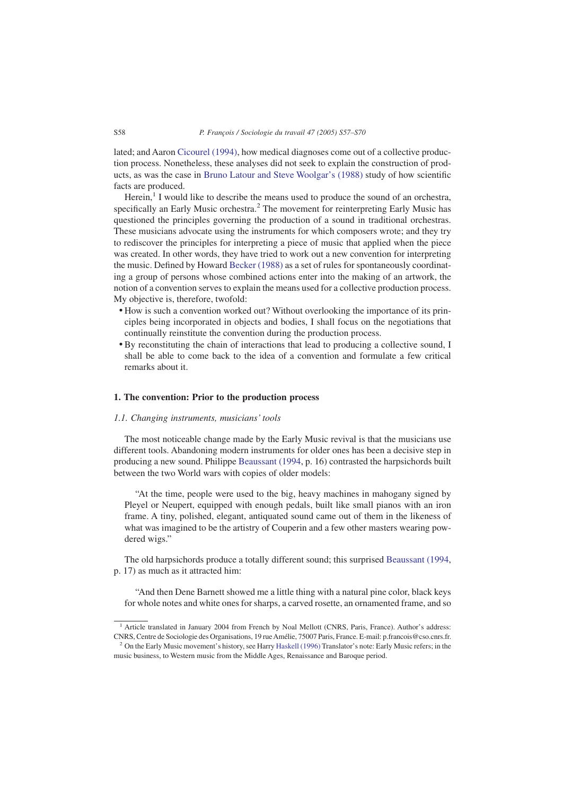lated; and Aaron [Cicourel \(1994\),](#page-13-0) how medical diagnoses come out of a collective production process. Nonetheless, these analyses did not seek to explain the construction of products, as was the case in [Bruno Latour and Steve Woolgar's \(1988\)](#page-13-0) study of how scientific facts are produced.

Herein, $<sup>1</sup>$  I would like to describe the means used to produce the sound of an orchestra,</sup> specifically an Early Music orchestra. $<sup>2</sup>$  The movement for reinterpreting Early Music has</sup> questioned the principles governing the production of a sound in traditional orchestras. These musicians advocate using the instruments for which composers wrote; and they try to rediscover the principles for interpreting a piece of music that applied when the piece was created. In other words, they have tried to work out a new convention for interpreting the music. Defined by Howard [Becker \(1988\)](#page-13-0) as a set of rules for spontaneously coordinating a group of persons whose combined actions enter into the making of an artwork, the notion of a convention serves to explain the means used for a collective production process. My objective is, therefore, twofold:

- How is such a convention worked out? Without overlooking the importance of its principles being incorporated in objects and bodies, I shall focus on the negotiations that continually reinstitute the convention during the production process.
- By reconstituting the chain of interactions that lead to producing a collective sound, I shall be able to come back to the idea of a convention and formulate a few critical remarks about it.

# **1. The convention: Prior to the production process**

# *1.1. Changing instruments, musicians' tools*

The most noticeable change made by the Early Music revival is that the musicians use different tools. Abandoning modern instruments for older ones has been a decisive step in producing a new sound. Philippe [Beaussant \(1994,](#page-13-0) p. 16) contrasted the harpsichords built between the two World wars with copies of older models:

"At the time, people were used to the big, heavy machines in mahogany signed by Pleyel or Neupert, equipped with enough pedals, built like small pianos with an iron frame. A tiny, polished, elegant, antiquated sound came out of them in the likeness of what was imagined to be the artistry of Couperin and a few other masters wearing powdered wigs."

The old harpsichords produce a totally different sound; this surprised [Beaussant \(1994,](#page-13-0) p. 17) as much as it attracted him:

"And then Dene Barnett showed me a little thing with a natural pine color, black keys for whole notes and white ones for sharps, a carved rosette, an ornamented frame, and so

<sup>&</sup>lt;sup>1</sup> Article translated in January 2004 from French by Noal Mellott (CNRS, Paris, France). Author's address: CNRS, Centre de Sociologie des Organisations, 19 rue Amélie, 75007 Paris, France. E-mail: p.francois@cso.cnrs.fr.

<sup>&</sup>lt;sup>2</sup> On the Early Music movement's history, see Harry [Haskell \(1996\)](#page-13-0) Translator's note: Early Music refers; in the music business, to Western music from the Middle Ages, Renaissance and Baroque period.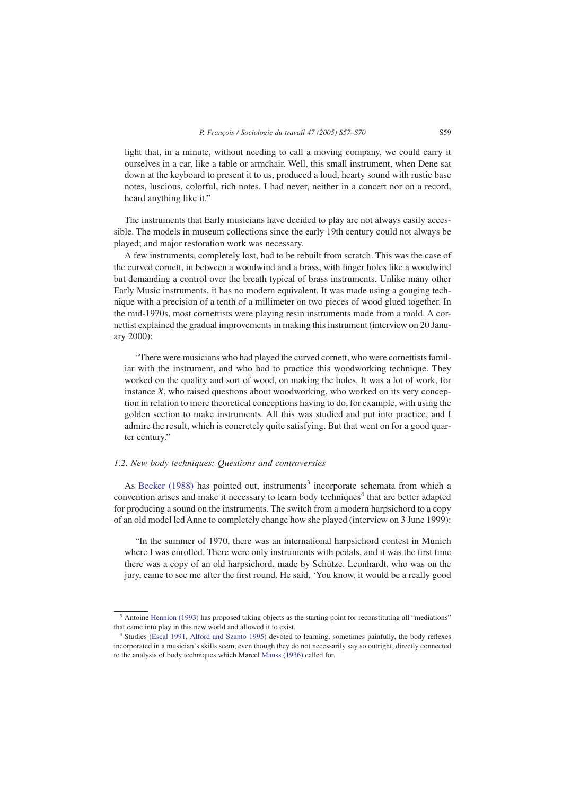light that, in a minute, without needing to call a moving company, we could carry it ourselves in a car, like a table or armchair. Well, this small instrument, when Dene sat down at the keyboard to present it to us, produced a loud, hearty sound with rustic base notes, luscious, colorful, rich notes. I had never, neither in a concert nor on a record, heard anything like it."

The instruments that Early musicians have decided to play are not always easily accessible. The models in museum collections since the early 19th century could not always be played; and major restoration work was necessary.

A few instruments, completely lost, had to be rebuilt from scratch. This was the case of the curved cornett, in between a woodwind and a brass, with finger holes like a woodwind but demanding a control over the breath typical of brass instruments. Unlike many other Early Music instruments, it has no modern equivalent. It was made using a gouging technique with a precision of a tenth of a millimeter on two pieces of wood glued together. In the mid-1970s, most cornettists were playing resin instruments made from a mold. A cornettist explained the gradual improvements in making this instrument (interview on 20 January 2000):

"There were musicians who had played the curved cornett, who were cornettists familiar with the instrument, and who had to practice this woodworking technique. They worked on the quality and sort of wood, on making the holes. It was a lot of work, for instance *X*, who raised questions about woodworking, who worked on its very conception in relation to more theoretical conceptions having to do, for example, with using the golden section to make instruments. All this was studied and put into practice, and I admire the result, which is concretely quite satisfying. But that went on for a good quarter century."

# *1.2. New body techniques: Questions and controversies*

As [Becker \(1988\)](#page-13-0) has pointed out, instruments<sup>3</sup> incorporate schemata from which a convention arises and make it necessary to learn body techniques<sup>4</sup> that are better adapted for producing a sound on the instruments. The switch from a modern harpsichord to a copy of an old model led Anne to completely change how she played (interview on 3 June 1999):

"In the summer of 1970, there was an international harpsichord contest in Munich where I was enrolled. There were only instruments with pedals, and it was the first time there was a copy of an old harpsichord, made by Schütze. Leonhardt, who was on the jury, came to see me after the first round. He said, 'You know, it would be a really good

<sup>&</sup>lt;sup>3</sup> Antoine [Hennion \(1993\)](#page-13-0) has proposed taking objects as the starting point for reconstituting all "mediations" that came into play in this new world and allowed it to exist.

<sup>4</sup> Studies [\(Escal 1991,](#page-13-0) [Alford and Szanto 1995\)](#page-13-0) devoted to learning, sometimes painfully, the body reflexes incorporated in a musician's skills seem, even though they do not necessarily say so outright, directly connected to the analysis of body techniques which Marcel [Mauss \(1936\)](#page-13-0) called for.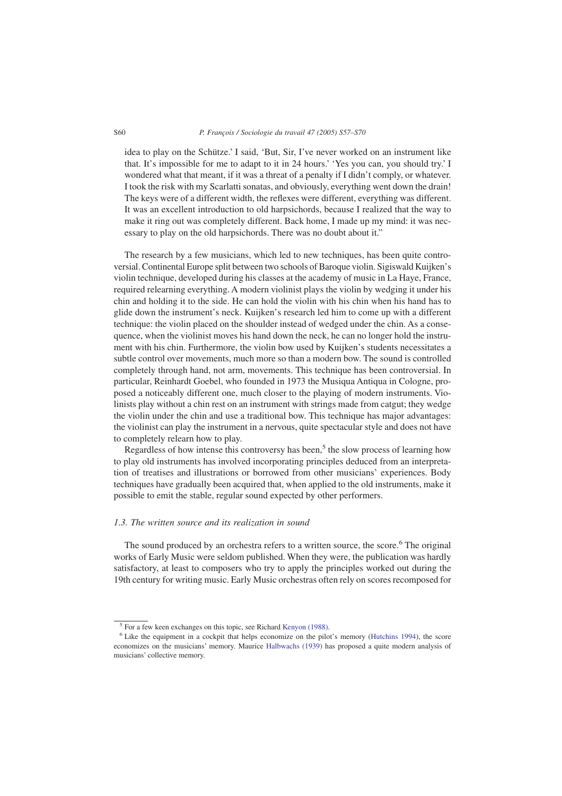#### S60 *P. François / Sociologie du travail 47 (2005) S57–S70*

idea to play on the Schütze.' I said, 'But, Sir, I've never worked on an instrument like that. It's impossible for me to adapt to it in 24 hours.' 'Yes you can, you should try.' I wondered what that meant, if it was a threat of a penalty if I didn't comply, or whatever. I took the risk with my Scarlatti sonatas, and obviously, everything went down the drain! The keys were of a different width, the reflexes were different, everything was different. It was an excellent introduction to old harpsichords, because I realized that the way to make it ring out was completely different. Back home, I made up my mind: it was necessary to play on the old harpsichords. There was no doubt about it."

The research by a few musicians, which led to new techniques, has been quite controversial. Continental Europe split between two schools of Baroque violin. Sigiswald Kuijken's violin technique, developed during his classes at the academy of music in La Haye, France, required relearning everything. A modern violinist plays the violin by wedging it under his chin and holding it to the side. He can hold the violin with his chin when his hand has to glide down the instrument's neck. Kuijken's research led him to come up with a different technique: the violin placed on the shoulder instead of wedged under the chin. As a consequence, when the violinist moves his hand down the neck, he can no longer hold the instrument with his chin. Furthermore, the violin bow used by Kuijken's students necessitates a subtle control over movements, much more so than a modern bow. The sound is controlled completely through hand, not arm, movements. This technique has been controversial. In particular, Reinhardt Goebel, who founded in 1973 the Musiqua Antiqua in Cologne, proposed a noticeably different one, much closer to the playing of modern instruments. Violinists play without a chin rest on an instrument with strings made from catgut; they wedge the violin under the chin and use a traditional bow. This technique has major advantages: the violinist can play the instrument in a nervous, quite spectacular style and does not have to completely relearn how to play.

Regardless of how intense this controversy has been,<sup>5</sup> the slow process of learning how to play old instruments has involved incorporating principles deduced from an interpretation of treatises and illustrations or borrowed from other musicians' experiences. Body techniques have gradually been acquired that, when applied to the old instruments, make it possible to emit the stable, regular sound expected by other performers.

# *1.3. The written source and its realization in sound*

The sound produced by an orchestra refers to a written source, the score.<sup>6</sup> The original works of Early Music were seldom published. When they were, the publication was hardly satisfactory, at least to composers who try to apply the principles worked out during the 19th century for writing music. Early Music orchestras often rely on scores recomposed for

 $\frac{5}{5}$  For a few keen exchanges on this topic, see Richard [Kenyon \(1988\).](#page-13-0)

<sup>&</sup>lt;sup>6</sup> Like the equipment in a cockpit that helps economize on the pilot's memory [\(Hutchins 1994\)](#page-13-0), the score economizes on the musicians' memory. Maurice [Halbwachs \(1939\)](#page-13-0) has proposed a quite modern analysis of musicians' collective memory.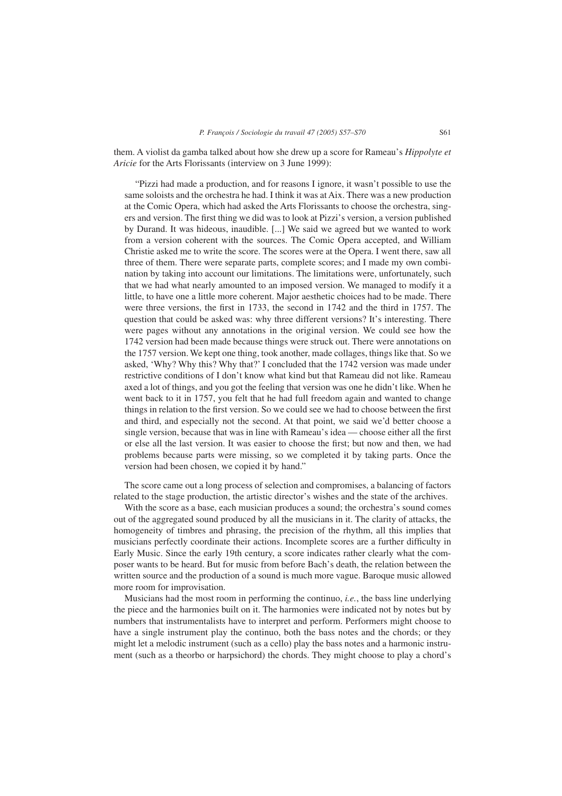them. A violist da gamba talked about how she drew up a score for Rameau's *Hippolyte et Aricie* for the Arts Florissants (interview on 3 June 1999):

"Pizzi had made a production, and for reasons I ignore, it wasn't possible to use the same soloists and the orchestra he had. I think it was at Aix. There was a new production at the Comic Opera, which had asked the Arts Florissants to choose the orchestra, singers and version. The first thing we did was to look at Pizzi's version, a version published by Durand. It was hideous, inaudible. [...] We said we agreed but we wanted to work from a version coherent with the sources. The Comic Opera accepted, and William Christie asked me to write the score. The scores were at the Opera. I went there, saw all three of them. There were separate parts, complete scores; and I made my own combination by taking into account our limitations. The limitations were, unfortunately, such that we had what nearly amounted to an imposed version. We managed to modify it a little, to have one a little more coherent. Major aesthetic choices had to be made. There were three versions, the first in 1733, the second in 1742 and the third in 1757. The question that could be asked was: why three different versions? It's interesting. There were pages without any annotations in the original version. We could see how the 1742 version had been made because things were struck out. There were annotations on the 1757 version. We kept one thing, took another, made collages, things like that. So we asked, 'Why? Why this? Why that?' I concluded that the 1742 version was made under restrictive conditions of I don't know what kind but that Rameau did not like. Rameau axed a lot of things, and you got the feeling that version was one he didn't like. When he went back to it in 1757, you felt that he had full freedom again and wanted to change things in relation to the first version. So we could see we had to choose between the first and third, and especially not the second. At that point, we said we'd better choose a single version, because that was in line with Rameau's idea — choose either all the first or else all the last version. It was easier to choose the first; but now and then, we had problems because parts were missing, so we completed it by taking parts. Once the version had been chosen, we copied it by hand."

The score came out a long process of selection and compromises, a balancing of factors related to the stage production, the artistic director's wishes and the state of the archives.

With the score as a base, each musician produces a sound; the orchestra's sound comes out of the aggregated sound produced by all the musicians in it. The clarity of attacks, the homogeneity of timbres and phrasing, the precision of the rhythm, all this implies that musicians perfectly coordinate their actions. Incomplete scores are a further difficulty in Early Music. Since the early 19th century, a score indicates rather clearly what the composer wants to be heard. But for music from before Bach's death, the relation between the written source and the production of a sound is much more vague. Baroque music allowed more room for improvisation.

Musicians had the most room in performing the continuo, *i.e.*, the bass line underlying the piece and the harmonies built on it. The harmonies were indicated not by notes but by numbers that instrumentalists have to interpret and perform. Performers might choose to have a single instrument play the continuo, both the bass notes and the chords; or they might let a melodic instrument (such as a cello) play the bass notes and a harmonic instrument (such as a theorbo or harpsichord) the chords. They might choose to play a chord's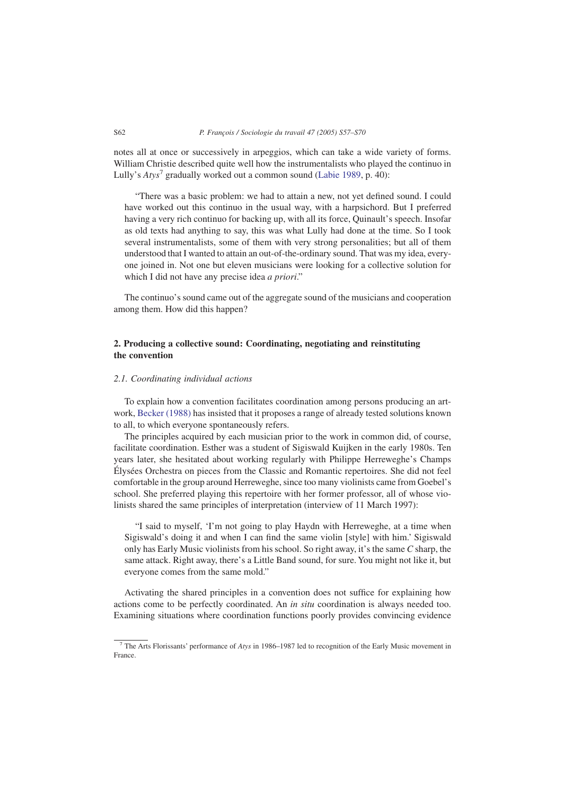notes all at once or successively in arpeggios, which can take a wide variety of forms. William Christie described quite well how the instrumentalists who played the continuo in Lully's *Atys*<sup>7</sup> gradually worked out a common sound [\(Labie 1989,](#page-13-0) p. 40):

"There was a basic problem: we had to attain a new, not yet defined sound. I could have worked out this continuo in the usual way, with a harpsichord. But I preferred having a very rich continuo for backing up, with all its force, Quinault's speech. Insofar as old texts had anything to say, this was what Lully had done at the time. So I took several instrumentalists, some of them with very strong personalities; but all of them understood that I wanted to attain an out-of-the-ordinary sound. That was my idea, everyone joined in. Not one but eleven musicians were looking for a collective solution for which I did not have any precise idea *a priori*."

The continuo's sound came out of the aggregate sound of the musicians and cooperation among them. How did this happen?

# **2. Producing a collective sound: Coordinating, negotiating and reinstituting the convention**

# *2.1. Coordinating individual actions*

To explain how a convention facilitates coordination among persons producing an artwork, [Becker \(1988\)](#page-13-0) has insisted that it proposes a range of already tested solutions known to all, to which everyone spontaneously refers.

The principles acquired by each musician prior to the work in common did, of course, facilitate coordination. Esther was a student of Sigiswald Kuijken in the early 1980s. Ten years later, she hesitated about working regularly with Philippe Herreweghe's Champs Élysées Orchestra on pieces from the Classic and Romantic repertoires. She did not feel comfortable in the group around Herreweghe, since too many violinists came from Goebel's school. She preferred playing this repertoire with her former professor, all of whose violinists shared the same principles of interpretation (interview of 11 March 1997):

"I said to myself, 'I'm not going to play Haydn with Herreweghe, at a time when Sigiswald's doing it and when I can find the same violin [style] with him.' Sigiswald only has Early Music violinists from his school. So right away, it's the same *C* sharp, the same attack. Right away, there's a Little Band sound, for sure. You might not like it, but everyone comes from the same mold."

Activating the shared principles in a convention does not suffice for explaining how actions come to be perfectly coordinated. An *in situ* coordination is always needed too. Examining situations where coordination functions poorly provides convincing evidence

<sup>&</sup>lt;sup>7</sup> The Arts Florissants' performance of *Atys* in 1986–1987 led to recognition of the Early Music movement in France.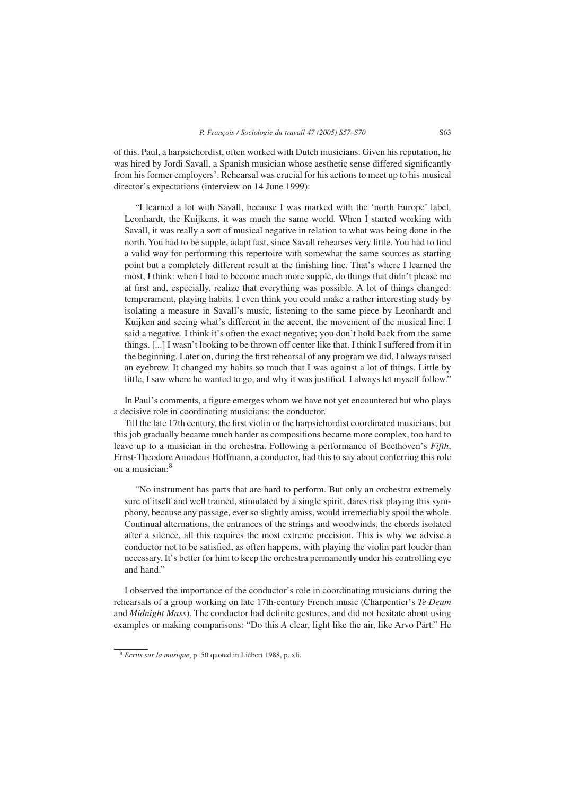of this. Paul, a harpsichordist, often worked with Dutch musicians. Given his reputation, he was hired by Jordi Savall, a Spanish musician whose aesthetic sense differed significantly from his former employers'. Rehearsal was crucial for his actions to meet up to his musical director's expectations (interview on 14 June 1999):

"I learned a lot with Savall, because I was marked with the 'north Europe' label. Leonhardt, the Kuijkens, it was much the same world. When I started working with Savall, it was really a sort of musical negative in relation to what was being done in the north. You had to be supple, adapt fast, since Savall rehearses very little. You had to find a valid way for performing this repertoire with somewhat the same sources as starting point but a completely different result at the finishing line. That's where I learned the most, I think: when I had to become much more supple, do things that didn't please me at first and, especially, realize that everything was possible. A lot of things changed: temperament, playing habits. I even think you could make a rather interesting study by isolating a measure in Savall's music, listening to the same piece by Leonhardt and Kuijken and seeing what's different in the accent, the movement of the musical line. I said a negative. I think it's often the exact negative; you don't hold back from the same things. [...] I wasn't looking to be thrown off center like that. I think I suffered from it in the beginning. Later on, during the first rehearsal of any program we did, I always raised an eyebrow. It changed my habits so much that I was against a lot of things. Little by little, I saw where he wanted to go, and why it was justified. I always let myself follow."

In Paul's comments, a figure emerges whom we have not yet encountered but who plays a decisive role in coordinating musicians: the conductor.

Till the late 17th century, the first violin or the harpsichordist coordinated musicians; but this job gradually became much harder as compositions became more complex, too hard to leave up to a musician in the orchestra. Following a performance of Beethoven's *Fifth*, Ernst-Theodore Amadeus Hoffmann, a conductor, had this to say about conferring this role on a musician:<sup>8</sup>

"No instrument has parts that are hard to perform. But only an orchestra extremely sure of itself and well trained, stimulated by a single spirit, dares risk playing this symphony, because any passage, ever so slightly amiss, would irremediably spoil the whole. Continual alternations, the entrances of the strings and woodwinds, the chords isolated after a silence, all this requires the most extreme precision. This is why we advise a conductor not to be satisfied, as often happens, with playing the violin part louder than necessary. It's better for him to keep the orchestra permanently under his controlling eye and hand."

I observed the importance of the conductor's role in coordinating musicians during the rehearsals of a group working on late 17th-century French music (Charpentier's *Te Deum* and *Midnight Mass*). The conductor had definite gestures, and did not hesitate about using examples or making comparisons: "Do this *A* clear, light like the air, like Arvo Pärt." He

<sup>8</sup> *Ecrits sur la musique*, p. 50 quoted in Liébert 1988, p. xli.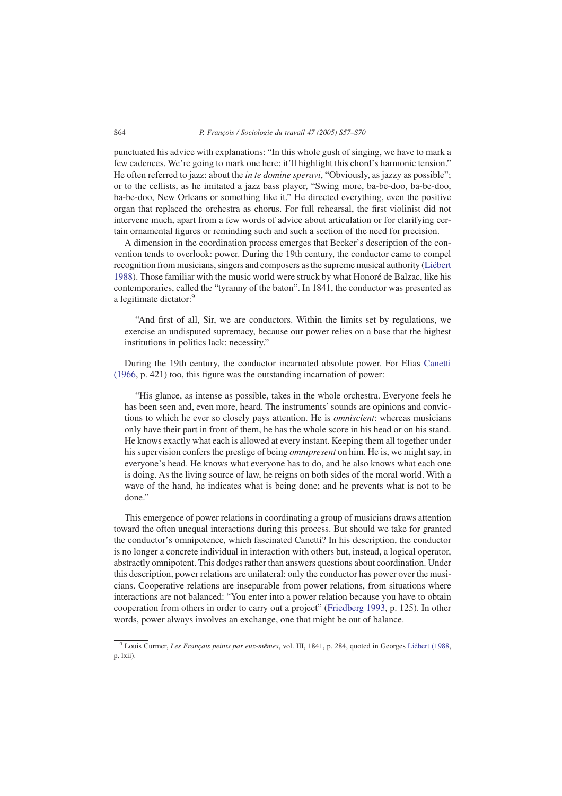punctuated his advice with explanations: "In this whole gush of singing, we have to mark a few cadences. We're going to mark one here: it'll highlight this chord's harmonic tension." He often referred to jazz: about the *in te domine speravi*, "Obviously, as jazzy as possible"; or to the cellists, as he imitated a jazz bass player, "Swing more, ba-be-doo, ba-be-doo, ba-be-doo, New Orleans or something like it." He directed everything, even the positive organ that replaced the orchestra as chorus. For full rehearsal, the first violinist did not intervene much, apart from a few words of advice about articulation or for clarifying certain ornamental figures or reminding such and such a section of the need for precision.

A dimension in the coordination process emerges that Becker's description of the convention tends to overlook: power. During the 19th century, the conductor came to compel recognition from musicians, singers and composers as the supreme musical authority [\(Liébert](#page-13-0) [1988\)](#page-13-0). Those familiar with the music world were struck by what Honoré de Balzac, like his contemporaries, called the "tyranny of the baton". In 1841, the conductor was presented as a legitimate dictator:<sup>9</sup>

"And first of all, Sir, we are conductors. Within the limits set by regulations, we exercise an undisputed supremacy, because our power relies on a base that the highest institutions in politics lack: necessity."

During the 19th century, the conductor incarnated absolute power. For Elias [Canetti](#page-13-0) [\(1966,](#page-13-0) p. 421) too, this figure was the outstanding incarnation of power:

"His glance, as intense as possible, takes in the whole orchestra. Everyone feels he has been seen and, even more, heard. The instruments' sounds are opinions and convictions to which he ever so closely pays attention. He is *omniscient*: whereas musicians only have their part in front of them, he has the whole score in his head or on his stand. He knows exactly what each is allowed at every instant. Keeping them all together under his supervision confers the prestige of being *omnipresent* on him. He is, we might say, in everyone's head. He knows what everyone has to do, and he also knows what each one is doing. As the living source of law, he reigns on both sides of the moral world. With a wave of the hand, he indicates what is being done; and he prevents what is not to be done."

This emergence of power relations in coordinating a group of musicians draws attention toward the often unequal interactions during this process. But should we take for granted the conductor's omnipotence, which fascinated Canetti? In his description, the conductor is no longer a concrete individual in interaction with others but, instead, a logical operator, abstractly omnipotent. This dodges rather than answers questions about coordination. Under this description, power relations are unilateral: only the conductor has power over the musicians. Cooperative relations are inseparable from power relations, from situations where interactions are not balanced: "You enter into a power relation because you have to obtain cooperation from others in order to carry out a project" [\(Friedberg 1993,](#page-13-0) p. 125). In other words, power always involves an exchange, one that might be out of balance.

<sup>9</sup> Louis Curmer, *Les Français peints par eux-mêmes*, vol. III, 1841, p. 284, quoted in Georges [Liébert \(1988,](#page-13-0) p. lxii).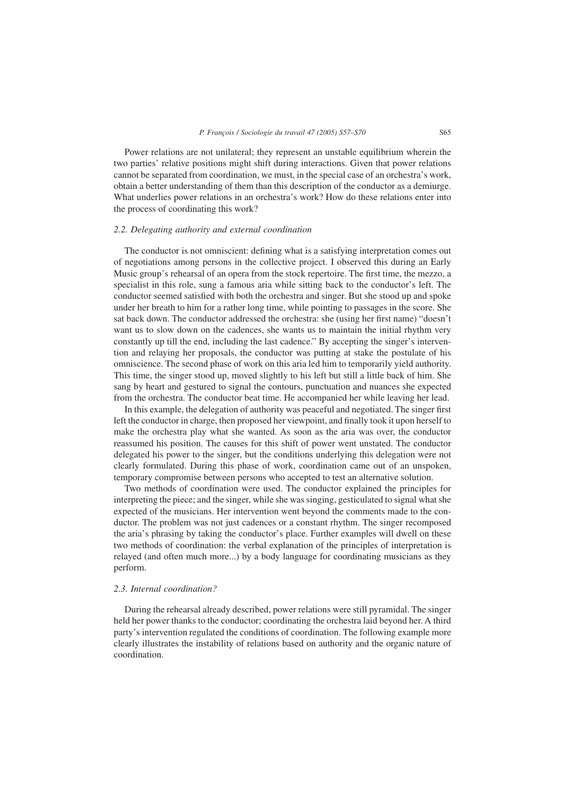Power relations are not unilateral; they represent an unstable equilibrium wherein the two parties' relative positions might shift during interactions. Given that power relations cannot be separated from coordination, we must, in the special case of an orchestra's work, obtain a better understanding of them than this description of the conductor as a demiurge. What underlies power relations in an orchestra's work? How do these relations enter into the process of coordinating this work?

# *2.2. Delegating authority and external coordination*

The conductor is not omniscient: defining what is a satisfying interpretation comes out of negotiations among persons in the collective project. I observed this during an Early Music group's rehearsal of an opera from the stock repertoire. The first time, the mezzo, a specialist in this role, sung a famous aria while sitting back to the conductor's left. The conductor seemed satisfied with both the orchestra and singer. But she stood up and spoke under her breath to him for a rather long time, while pointing to passages in the score. She sat back down. The conductor addressed the orchestra: she (using her first name) "doesn't want us to slow down on the cadences, she wants us to maintain the initial rhythm very constantly up till the end, including the last cadence." By accepting the singer's intervention and relaying her proposals, the conductor was putting at stake the postulate of his omniscience. The second phase of work on this aria led him to temporarily yield authority. This time, the singer stood up, moved slightly to his left but still a little back of him. She sang by heart and gestured to signal the contours, punctuation and nuances she expected from the orchestra. The conductor beat time. He accompanied her while leaving her lead.

In this example, the delegation of authority was peaceful and negotiated. The singer first left the conductor in charge, then proposed her viewpoint, and finally took it upon herself to make the orchestra play what she wanted. As soon as the aria was over, the conductor reassumed his position. The causes for this shift of power went unstated. The conductor delegated his power to the singer, but the conditions underlying this delegation were not clearly formulated. During this phase of work, coordination came out of an unspoken, temporary compromise between persons who accepted to test an alternative solution.

Two methods of coordination were used. The conductor explained the principles for interpreting the piece; and the singer, while she was singing, gesticulated to signal what she expected of the musicians. Her intervention went beyond the comments made to the conductor. The problem was not just cadences or a constant rhythm. The singer recomposed the aria's phrasing by taking the conductor's place. Further examples will dwell on these two methods of coordination: the verbal explanation of the principles of interpretation is relayed (and often much more...) by a body language for coordinating musicians as they perform.

# *2.3. Internal coordination?*

During the rehearsal already described, power relations were still pyramidal. The singer held her power thanks to the conductor; coordinating the orchestra laid beyond her. A third party's intervention regulated the conditions of coordination. The following example more clearly illustrates the instability of relations based on authority and the organic nature of coordination.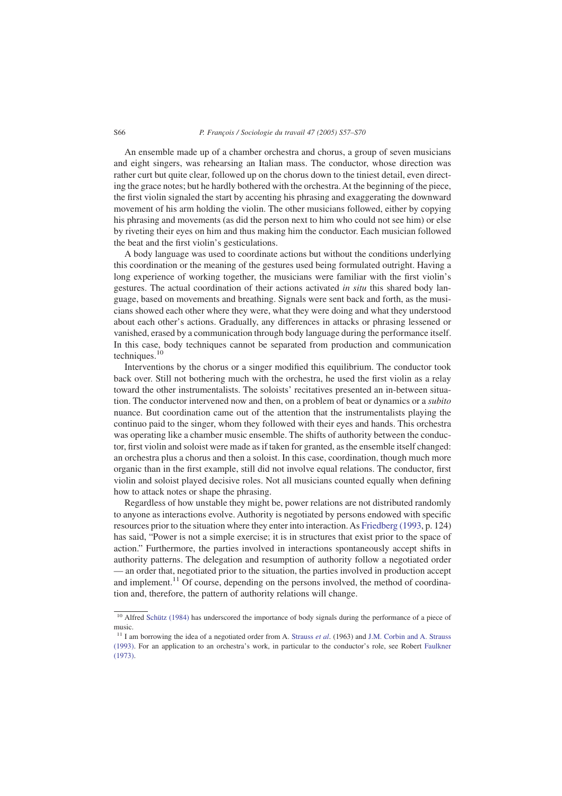#### S66 *P. François / Sociologie du travail 47 (2005) S57–S70*

An ensemble made up of a chamber orchestra and chorus, a group of seven musicians and eight singers, was rehearsing an Italian mass. The conductor, whose direction was rather curt but quite clear, followed up on the chorus down to the tiniest detail, even directing the grace notes; but he hardly bothered with the orchestra. At the beginning of the piece, the first violin signaled the start by accenting his phrasing and exaggerating the downward movement of his arm holding the violin. The other musicians followed, either by copying his phrasing and movements (as did the person next to him who could not see him) or else by riveting their eyes on him and thus making him the conductor. Each musician followed the beat and the first violin's gesticulations.

A body language was used to coordinate actions but without the conditions underlying this coordination or the meaning of the gestures used being formulated outright. Having a long experience of working together, the musicians were familiar with the first violin's gestures. The actual coordination of their actions activated *in situ* this shared body language, based on movements and breathing. Signals were sent back and forth, as the musicians showed each other where they were, what they were doing and what they understood about each other's actions. Gradually, any differences in attacks or phrasing lessened or vanished, erased by a communication through body language during the performance itself. In this case, body techniques cannot be separated from production and communication techniques.<sup>10</sup>

Interventions by the chorus or a singer modified this equilibrium. The conductor took back over. Still not bothering much with the orchestra, he used the first violin as a relay toward the other instrumentalists. The soloists' recitatives presented an in-between situation. The conductor intervened now and then, on a problem of beat or dynamics or a *subito* nuance. But coordination came out of the attention that the instrumentalists playing the continuo paid to the singer, whom they followed with their eyes and hands. This orchestra was operating like a chamber music ensemble. The shifts of authority between the conductor, first violin and soloist were made as if taken for granted, as the ensemble itself changed: an orchestra plus a chorus and then a soloist. In this case, coordination, though much more organic than in the first example, still did not involve equal relations. The conductor, first violin and soloist played decisive roles. Not all musicians counted equally when defining how to attack notes or shape the phrasing.

Regardless of how unstable they might be, power relations are not distributed randomly to anyone as interactions evolve. Authority is negotiated by persons endowed with specific resources prior to the situation where they enter into interaction. As [Friedberg \(1993,](#page-13-0) p. 124) has said, "Power is not a simple exercise; it is in structures that exist prior to the space of action." Furthermore, the parties involved in interactions spontaneously accept shifts in authority patterns. The delegation and resumption of authority follow a negotiated order — an order that, negotiated prior to the situation, the parties involved in production accept and implement.<sup>11</sup> Of course, depending on the persons involved, the method of coordination and, therefore, the pattern of authority relations will change.

<sup>&</sup>lt;sup>10</sup> Alfred [Schütz \(1984\)](#page-13-0) has underscored the importance of body signals during the performance of a piece of music.

<sup>11</sup> I am borrowing the idea of a negotiated order from A. Strauss *et al*[. \(1963\)](#page-13-0) and [J.M. Corbin and A. Strauss](#page-13-0) [\(1993\).](#page-13-0) For an application to an orchestra's work, in particular to the conductor's role, see Robert [Faulkner](#page-13-0) [\(1973\).](#page-13-0)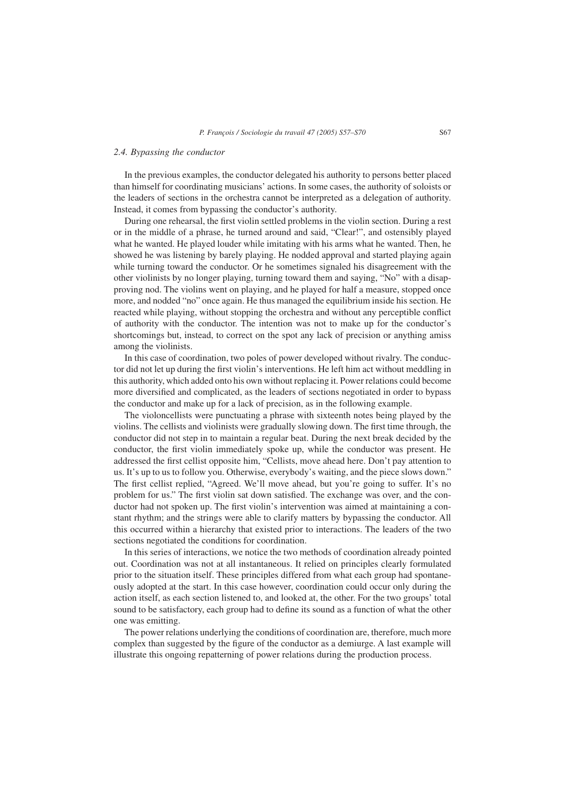# *2.4. Bypassing the conductor*

In the previous examples, the conductor delegated his authority to persons better placed than himself for coordinating musicians' actions. In some cases, the authority of soloists or the leaders of sections in the orchestra cannot be interpreted as a delegation of authority. Instead, it comes from bypassing the conductor's authority.

During one rehearsal, the first violin settled problems in the violin section. During a rest or in the middle of a phrase, he turned around and said, "Clear!", and ostensibly played what he wanted. He played louder while imitating with his arms what he wanted. Then, he showed he was listening by barely playing. He nodded approval and started playing again while turning toward the conductor. Or he sometimes signaled his disagreement with the other violinists by no longer playing, turning toward them and saying, "No" with a disapproving nod. The violins went on playing, and he played for half a measure, stopped once more, and nodded "no" once again. He thus managed the equilibrium inside his section. He reacted while playing, without stopping the orchestra and without any perceptible conflict of authority with the conductor. The intention was not to make up for the conductor's shortcomings but, instead, to correct on the spot any lack of precision or anything amiss among the violinists.

In this case of coordination, two poles of power developed without rivalry. The conductor did not let up during the first violin's interventions. He left him act without meddling in this authority, which added onto his own without replacing it. Power relations could become more diversified and complicated, as the leaders of sections negotiated in order to bypass the conductor and make up for a lack of precision, as in the following example.

The violoncellists were punctuating a phrase with sixteenth notes being played by the violins. The cellists and violinists were gradually slowing down. The first time through, the conductor did not step in to maintain a regular beat. During the next break decided by the conductor, the first violin immediately spoke up, while the conductor was present. He addressed the first cellist opposite him, "Cellists, move ahead here. Don't pay attention to us. It's up to us to follow you. Otherwise, everybody's waiting, and the piece slows down." The first cellist replied, "Agreed. We'll move ahead, but you're going to suffer. It's no problem for us." The first violin sat down satisfied. The exchange was over, and the conductor had not spoken up. The first violin's intervention was aimed at maintaining a constant rhythm; and the strings were able to clarify matters by bypassing the conductor. All this occurred within a hierarchy that existed prior to interactions. The leaders of the two sections negotiated the conditions for coordination.

In this series of interactions, we notice the two methods of coordination already pointed out. Coordination was not at all instantaneous. It relied on principles clearly formulated prior to the situation itself. These principles differed from what each group had spontaneously adopted at the start. In this case however, coordination could occur only during the action itself, as each section listened to, and looked at, the other. For the two groups' total sound to be satisfactory, each group had to define its sound as a function of what the other one was emitting.

The power relations underlying the conditions of coordination are, therefore, much more complex than suggested by the figure of the conductor as a demiurge. A last example will illustrate this ongoing repatterning of power relations during the production process.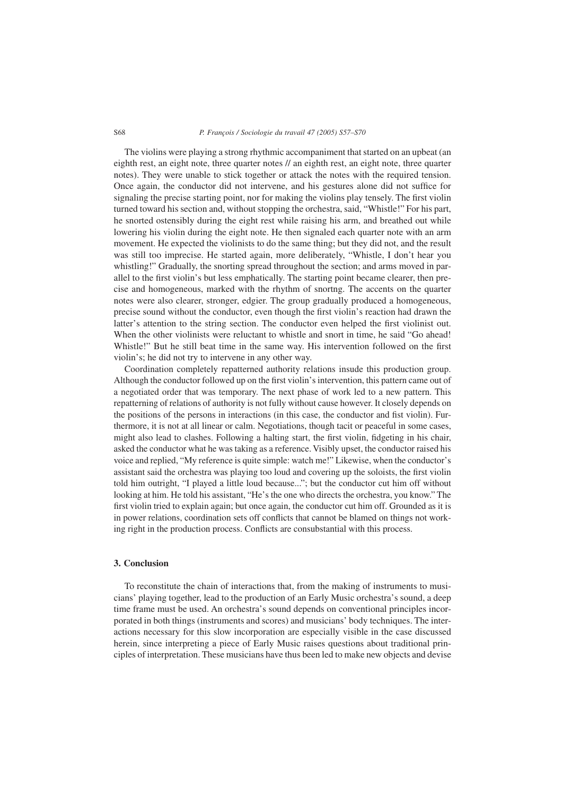#### S68 *P. François / Sociologie du travail 47 (2005) S57–S70*

The violins were playing a strong rhythmic accompaniment that started on an upbeat (an eighth rest, an eight note, three quarter notes // an eighth rest, an eight note, three quarter notes). They were unable to stick together or attack the notes with the required tension. Once again, the conductor did not intervene, and his gestures alone did not suffice for signaling the precise starting point, nor for making the violins play tensely. The first violin turned toward his section and, without stopping the orchestra, said, "Whistle!" For his part, he snorted ostensibly during the eight rest while raising his arm, and breathed out while lowering his violin during the eight note. He then signaled each quarter note with an arm movement. He expected the violinists to do the same thing; but they did not, and the result was still too imprecise. He started again, more deliberately, "Whistle, I don't hear you whistling!" Gradually, the snorting spread throughout the section; and arms moved in parallel to the first violin's but less emphatically. The starting point became clearer, then precise and homogeneous, marked with the rhythm of snortng. The accents on the quarter notes were also clearer, stronger, edgier. The group gradually produced a homogeneous, precise sound without the conductor, even though the first violin's reaction had drawn the latter's attention to the string section. The conductor even helped the first violinist out. When the other violinists were reluctant to whistle and snort in time, he said "Go ahead! Whistle!" But he still beat time in the same way. His intervention followed on the first violin's; he did not try to intervene in any other way.

Coordination completely repatterned authority relations insude this production group. Although the conductor followed up on the first violin's intervention, this pattern came out of a negotiated order that was temporary. The next phase of work led to a new pattern. This repatterning of relations of authority is not fully without cause however. It closely depends on the positions of the persons in interactions (in this case, the conductor and fist violin). Furthermore, it is not at all linear or calm. Negotiations, though tacit or peaceful in some cases, might also lead to clashes. Following a halting start, the first violin, fidgeting in his chair, asked the conductor what he was taking as a reference. Visibly upset, the conductor raised his voice and replied, "My reference is quite simple: watch me!" Likewise, when the conductor's assistant said the orchestra was playing too loud and covering up the soloists, the first violin told him outright, "I played a little loud because..."; but the conductor cut him off without looking at him. He told his assistant, "He's the one who directs the orchestra, you know." The first violin tried to explain again; but once again, the conductor cut him off. Grounded as it is in power relations, coordination sets off conflicts that cannot be blamed on things not working right in the production process. Conflicts are consubstantial with this process.

# **3. Conclusion**

To reconstitute the chain of interactions that, from the making of instruments to musicians' playing together, lead to the production of an Early Music orchestra's sound, a deep time frame must be used. An orchestra's sound depends on conventional principles incorporated in both things (instruments and scores) and musicians' body techniques. The interactions necessary for this slow incorporation are especially visible in the case discussed herein, since interpreting a piece of Early Music raises questions about traditional principles of interpretation. These musicians have thus been led to make new objects and devise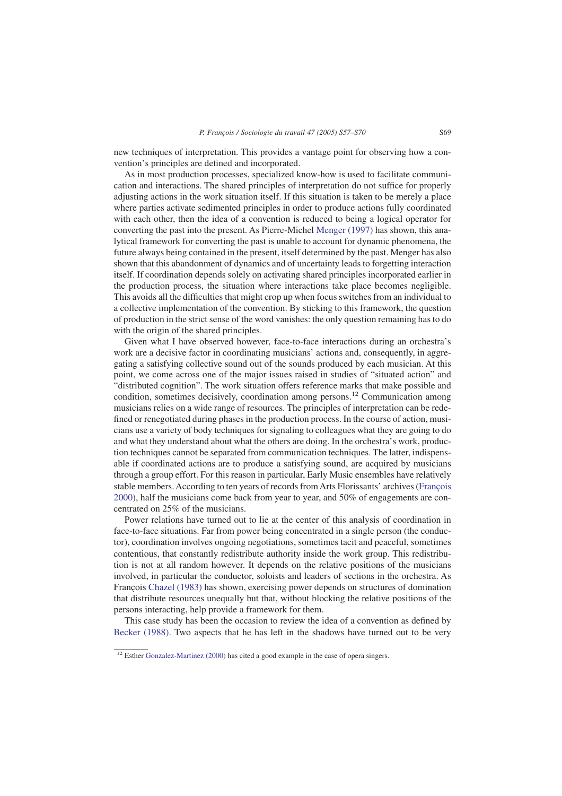new techniques of interpretation. This provides a vantage point for observing how a convention's principles are defined and incorporated.

As in most production processes, specialized know-how is used to facilitate communication and interactions. The shared principles of interpretation do not suffice for properly adjusting actions in the work situation itself. If this situation is taken to be merely a place where parties activate sedimented principles in order to produce actions fully coordinated with each other, then the idea of a convention is reduced to being a logical operator for converting the past into the present. As Pierre-Michel [Menger \(1997\)](#page-13-0) has shown, this analytical framework for converting the past is unable to account for dynamic phenomena, the future always being contained in the present, itself determined by the past. Menger has also shown that this abandonment of dynamics and of uncertainty leads to forgetting interaction itself. If coordination depends solely on activating shared principles incorporated earlier in the production process, the situation where interactions take place becomes negligible. This avoids all the difficulties that might crop up when focus switches from an individual to a collective implementation of the convention. By sticking to this framework, the question of production in the strict sense of the word vanishes: the only question remaining has to do with the origin of the shared principles.

Given what I have observed however, face-to-face interactions during an orchestra's work are a decisive factor in coordinating musicians' actions and, consequently, in aggregating a satisfying collective sound out of the sounds produced by each musician. At this point, we come across one of the major issues raised in studies of "situated action" and "distributed cognition". The work situation offers reference marks that make possible and condition, sometimes decisively, coordination among persons.12 Communication among musicians relies on a wide range of resources. The principles of interpretation can be redefined or renegotiated during phases in the production process. In the course of action, musicians use a variety of body techniques for signaling to colleagues what they are going to do and what they understand about what the others are doing. In the orchestra's work, production techniques cannot be separated from communication techniques. The latter, indispensable if coordinated actions are to produce a satisfying sound, are acquired by musicians through a group effort. For this reason in particular, Early Music ensembles have relatively stable members. According to ten years of records from Arts Florissants' archives [\(François](#page-13-0) [2000\)](#page-13-0), half the musicians come back from year to year, and 50% of engagements are concentrated on 25% of the musicians.

Power relations have turned out to lie at the center of this analysis of coordination in face-to-face situations. Far from power being concentrated in a single person (the conductor), coordination involves ongoing negotiations, sometimes tacit and peaceful, sometimes contentious, that constantly redistribute authority inside the work group. This redistribution is not at all random however. It depends on the relative positions of the musicians involved, in particular the conductor, soloists and leaders of sections in the orchestra. As François [Chazel \(1983\)](#page-13-0) has shown, exercising power depends on structures of domination that distribute resources unequally but that, without blocking the relative positions of the persons interacting, help provide a framework for them.

This case study has been the occasion to review the idea of a convention as defined by [Becker \(1988\).](#page-13-0) Two aspects that he has left in the shadows have turned out to be very

 $12$  Esther [Gonzalez-Martinez \(2000\)](#page-13-0) has cited a good example in the case of opera singers.